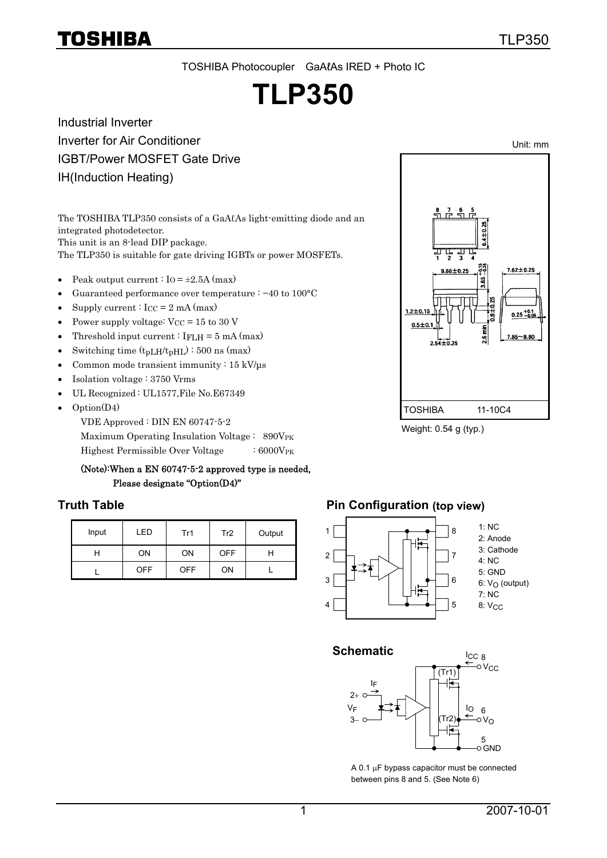Unit: mm

TOSHIBA Photocoupler GaAℓAs IRED + Photo IC

# **TLP350**

Industrial Inverter Inverter for Air Conditioner IGBT/Power MOSFET Gate Drive IH(Induction Heating)

The TOSHIBA TLP350 consists of a GaAℓAs light-emitting diode and an integrated photodetector. This unit is an 8-lead DIP package.

The TLP350 is suitable for gate driving IGBTs or power MOSFETs.

- Peak output current :  $I_0 = \pm 2.5A$  (max)
- Guaranteed performance over temperature : −40 to 100°C
- Supply current :  $I_{CC} = 2$  mA (max)
- Power supply voltage:  $V_{CC} = 15$  to 30 V
- Threshold input current :  $I_{\text{FLH}} = 5 \text{ mA (max)}$
- Switching time  $(t_{pLH}/t_{pHL})$ : 500 ns (max)
- Common mode transient immunity :  $15 \text{ kV/}\mu\text{s}$
- Isolation voltage : 3750 Vrms
- UL Recognized : UL1577,File No.E67349
- Option(D4)

VDE Approved : DIN EN 60747-5-2

Maximum Operating Insulation Voltage :  $890V_{PK}$ 

Highest Permissible Over Voltage : 6000VPK

#### (Note):When a EN 60747-5-2 approved type is needed, Please designate "Option(D4)"

| Input | FD.        | Tr1        | Tr <sub>2</sub> | Output |
|-------|------------|------------|-----------------|--------|
| н     | OΝ         | ON         | <b>OFF</b>      |        |
|       | <b>OFF</b> | <b>OFF</b> | ON              |        |

### **Truth Table 19 Truth Table 10 Truth Table 10 Truth Table 10 Truth Table 10 Truth Table 10 Truth Table 10 Truth Table 10 Truth Table 10 Truth Table 10 Truth Table 10 Truth Table 10 Truth Table 10 Truth Table 10 Truth Table**





A 0.1 μF bypass capacitor must be connected between pins 8 and 5. (See Note 6)



Weight: 0.54 g (typ.)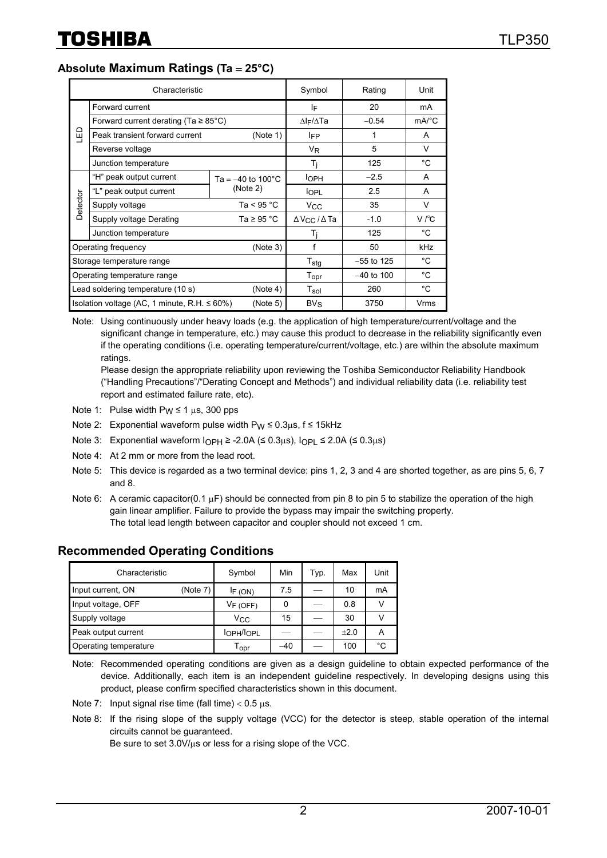**Absolute Maximum Ratings (Ta** = **25°C)**

|                                                                 | Characteristic                            | Symbol                              | Rating                                 | Unit                |              |
|-----------------------------------------------------------------|-------------------------------------------|-------------------------------------|----------------------------------------|---------------------|--------------|
|                                                                 | Forward current                           | ΙF                                  | 20                                     | mA                  |              |
|                                                                 | Forward current derating (Ta $\geq$ 85°C) | $\Delta$ <sub>F</sub> / $\Delta$ Ta | $-0.54$                                | $mA$ <sup>°</sup> C |              |
| ۹<br>س                                                          | Peak transient forward current            | (Note 1)                            | <b>IFP</b>                             | 1                   | A            |
|                                                                 | Reverse voltage                           |                                     | V <sub>R</sub>                         | 5                   | V            |
|                                                                 | Junction temperature                      | T <sub>i</sub>                      | 125                                    | °C                  |              |
|                                                                 | "H" peak output current                   | Ta = $-40$ to 100 $^{\circ}$ C      | <b>l</b> oph                           | $-2.5$              | A            |
|                                                                 | "L" peak output current                   | (Note 2)                            | <b>l</b> OPL                           | 2.5                 | A            |
| Detector                                                        | Supply voltage                            | Ta < $95 °C$                        | $V_{\rm CC}$                           | 35                  | V            |
|                                                                 | Supply voltage Derating                   | Ta $\geq 95$ °C                     | $\Delta$ V <sub>CC</sub> / $\Delta$ Ta | $-1.0$              | V/C          |
|                                                                 | Junction temperature                      |                                     | Ti                                     | 125                 | $^{\circ}$ C |
|                                                                 | Operating frequency                       | (Note 3)                            | f                                      | 50                  | <b>kHz</b>   |
|                                                                 | Storage temperature range                 | $T_{\text{stg}}$                    | $-55$ to 125                           | $^{\circ}$ C        |              |
|                                                                 | Operating temperature range               | T <sub>opr</sub>                    | $-40$ to 100                           | °C                  |              |
| Lead soldering temperature (10 s)<br>(Note 4)                   |                                           |                                     | $T_{sol}$                              | 260                 | $^{\circ}$ C |
| (Note 5)<br>Isolation voltage (AC, 1 minute, R.H. $\leq 60\%$ ) |                                           |                                     | $BV_S$                                 | 3750                | Vrms         |

Note: Using continuously under heavy loads (e.g. the application of high temperature/current/voltage and the significant change in temperature, etc.) may cause this product to decrease in the reliability significantly even if the operating conditions (i.e. operating temperature/current/voltage, etc.) are within the absolute maximum ratings.

Please design the appropriate reliability upon reviewing the Toshiba Semiconductor Reliability Handbook ("Handling Precautions"/"Derating Concept and Methods") and individual reliability data (i.e. reliability test report and estimated failure rate, etc).

- Note 1: Pulse width  $P_W \le 1 \mu s$ , 300 pps
- Note 2: Exponential waveform pulse width  $P_W \le 0.3 \mu s$ ,  $f \le 15 \kappa Hz$
- Note 3: Exponential waveform  $\text{IOPH}$  ≥ -2.0A (≤ 0.3µs),  $\text{IOPL}$  ≤ 2.0A (≤ 0.3µs)
- Note 4: At 2 mm or more from the lead root.
- Note 5: This device is regarded as a two terminal device: pins 1, 2, 3 and 4 are shorted together, as are pins 5, 6, 7 and 8.
- Note 6: A ceramic capacitor(0.1  $\mu$ F) should be connected from pin 8 to pin 5 to stabilize the operation of the high gain linear amplifier. Failure to provide the bypass may impair the switching property. The total lead length between capacitor and coupler should not exceed 1 cm.

#### **Recommended Operating Conditions**

| Characteristic        |          | Symbol                             | Min   | Typ. | Max    | Unit |
|-----------------------|----------|------------------------------------|-------|------|--------|------|
| Input current, ON     | (Note 7) | IF (ON)                            | 7.5   |      | 10     | mA   |
| Input voltage, OFF    |          | $V_{\mathsf{F}}$ (OFF)             |       |      | 0.8    |      |
| Supply voltage        |          | $V_{\rm CC}$                       | 15    |      | 30     |      |
| Peak output current   |          | l <sub>OPH</sub> /l <sub>OPL</sub> |       |      | $+2.0$ | A    |
| Operating temperature |          | $\mathsf{T}_{\mathsf{OPT}}$        | $-40$ |      | 100    | °C   |

Note: Recommended operating conditions are given as a design guideline to obtain expected performance of the device. Additionally, each item is an independent guideline respectively. In developing designs using this product, please confirm specified characteristics shown in this document.

Note 7: Input signal rise time (fall time)  $< 0.5 \mu s$ .

Note 8: If the rising slope of the supply voltage (VCC) for the detector is steep, stable operation of the internal circuits cannot be guaranteed.

Be sure to set 3.0V/μs or less for a rising slope of the VCC.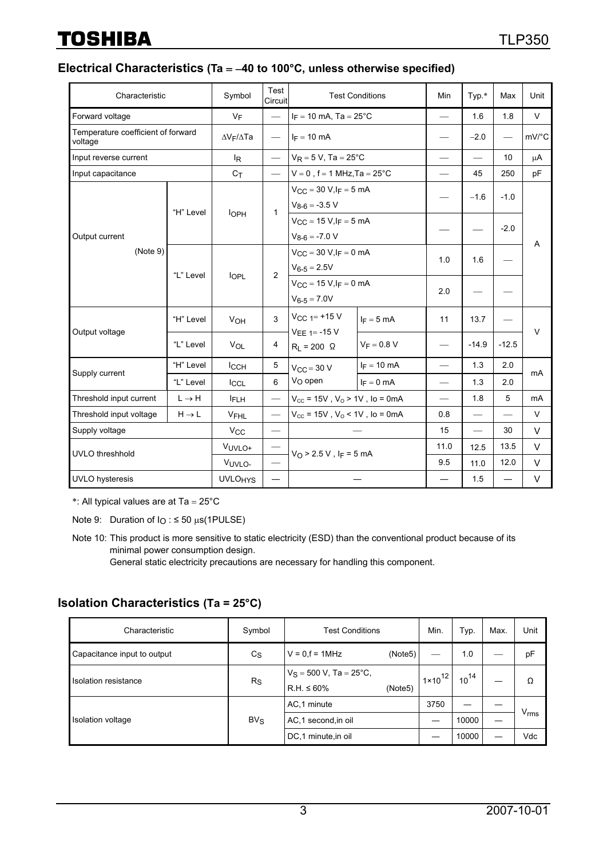#### **Electrical Characteristics (Ta** = −**40 to 100°C, unless otherwise specified)**

|                                               | Test<br><b>Test Conditions</b><br>Characteristic<br>Symbol<br>Circuit |                           |                                                 | Min                                                                      | Typ.*                    | Max                           | Unit                     |                          |           |
|-----------------------------------------------|-----------------------------------------------------------------------|---------------------------|-------------------------------------------------|--------------------------------------------------------------------------|--------------------------|-------------------------------|--------------------------|--------------------------|-----------|
| Forward voltage                               |                                                                       | $V_F$                     |                                                 | $I_F = 10$ mA, Ta = 25°C                                                 |                          |                               | 1.6                      | 1.8                      | $\vee$    |
| Temperature coefficient of forward<br>voltage |                                                                       | $\Delta V_F / \Delta Ta$  |                                                 | $I_F = 10$ mA                                                            |                          |                               | $-2.0$                   | $\overline{\phantom{0}}$ | mV/°C     |
| Input reverse current                         |                                                                       | l <sub>R</sub>            |                                                 | $V_R = 5 V$ , Ta = 25°C                                                  |                          | $\overline{\phantom{0}}$      | $\overline{\phantom{0}}$ | 10                       | $\mu$ A   |
| Input capacitance                             |                                                                       | $C_{\mathsf{T}}$          |                                                 | $V = 0$ , f = 1 MHz, Ta = 25°C                                           |                          | $\overline{\phantom{0}}$      | 45                       | 250                      | pF        |
|                                               | "H" Level                                                             |                           | $\mathbf{1}$                                    | $V_{\text{CC}} = 30 \text{ V}, I_F = 5 \text{ mA}$<br>$V_{8-6} = -3.5 V$ |                          |                               | $-1.6$                   | $-1.0$                   |           |
| Output current<br>(Note 9)                    |                                                                       | <b>l</b> OPH              |                                                 | $V_{CC} = 15 V, I_F = 5 mA$<br>$V_{8-6} = -7.0 V$                        |                          |                               |                          | $-2.0$                   |           |
|                                               |                                                                       | $\overline{2}$            | $V_{CC} = 30 V, I_F = 0 mA$<br>$V_{6-5} = 2.5V$ |                                                                          | 1.0                      | 1.6                           |                          | A                        |           |
|                                               |                                                                       | "L" Level<br><b>l</b> OPL |                                                 | $V_{CC} = 15 V, I_F = 0 mA$<br>$V_{6-5} = 7.0V$                          |                          | 2.0                           |                          |                          |           |
| Output voltage                                | "H" Level                                                             | VOH                       | 3                                               | $V_{CC}$ 1 = +15 V<br>$VEE$ <sub>1</sub> = -15 V                         | $I_F = 5$ mA             | 11                            | 13.7                     |                          | $\vee$    |
|                                               | "L" Level                                                             | VOL                       | 4                                               | $R_L = 200 \Omega$                                                       | $V_F = 0.8 V$            | $\overbrace{\phantom{12333}}$ | $-14.9$                  | $-12.5$                  |           |
| Supply current                                | "H" Level                                                             | <b>ICCH</b>               | 5                                               | $V_{CC}$ = 30 V                                                          | $I_F = 10$ mA            |                               | 1.3                      | 2.0                      | mA        |
|                                               | "L" Level                                                             | <b>ICCL</b>               | 6                                               | V <sub>O</sub> open                                                      | $I_F = 0$ mA             |                               | 1.3                      | 2.0                      |           |
| Threshold input current                       | $L \rightarrow H$                                                     | <b>IFLH</b>               |                                                 | $V_{\text{cc}}$ = 15V, $V_{\text{o}}$ > 1V, lo = 0mA                     |                          |                               | 1.8                      | 5                        | <b>mA</b> |
| Threshold input voltage                       | $H \rightarrow L$                                                     | <b>VFHL</b>               |                                                 | $V_{CC}$ = 15V, $V_{O}$ < 1V, lo = 0mA                                   |                          | 0.8                           | $\overline{\phantom{0}}$ | $\overline{\phantom{0}}$ | $\vee$    |
| Supply voltage                                |                                                                       | <b>V<sub>CC</sub></b>     |                                                 | 15                                                                       | $\overline{\phantom{0}}$ | 30                            | V                        |                          |           |
| UVLO threshhold                               |                                                                       | VUVLO+                    |                                                 | $V_O > 2.5 V$ , I <sub>F</sub> = 5 mA                                    |                          | 11.0                          | 12.5                     | 13.5                     | $\vee$    |
|                                               |                                                                       | VUVLO-                    | $\overline{\phantom{0}}$                        |                                                                          |                          | 9.5                           | 11.0                     | 12.0                     | V         |
| UVLO hysteresis                               |                                                                       | <b>UVLO<sub>HYS</sub></b> | $\overline{\phantom{0}}$                        |                                                                          |                          |                               | 1.5                      | $\overline{\phantom{0}}$ | $\vee$    |

\*: All typical values are at Ta =  $25^{\circ}$ C

Note 9: Duration of  $I<sub>O</sub>$ :  $\leq$  50  $\mu$ s(1PULSE)

Note 10: This product is more sensitive to static electricity (ESD) than the conventional product because of its minimal power consumption design.

General static electricity precautions are necessary for handling this component.

#### **Isolation Characteristics (Ta = 25°C)**

| Characteristic              | Symbol                                     | <b>Test Conditions</b>                                   | Min.               | Тур.      | Max. | Unit             |
|-----------------------------|--------------------------------------------|----------------------------------------------------------|--------------------|-----------|------|------------------|
| Capacitance input to output | (Note5)<br>$V = 0.f = 1MHz$<br>$c_{\rm S}$ |                                                          |                    | 1.0       |      | pF               |
| <b>Isolation resistance</b> | $R_{\rm S}$                                | $V_S = 500 V$ , Ta = 25°C,<br>$R.H. \le 60\%$<br>(Note5) | $1 \times 10^{12}$ | $10^{14}$ |      | Ω                |
|                             |                                            | AC,1 minute                                              | 3750               |           |      |                  |
| Isolation voltage           | $BV_S$                                     | AC,1 second, in oil                                      |                    | 10000     |      | $V_{\text{rms}}$ |
|                             |                                            | DC,1 minute, in oil                                      |                    | 10000     |      | Vdc              |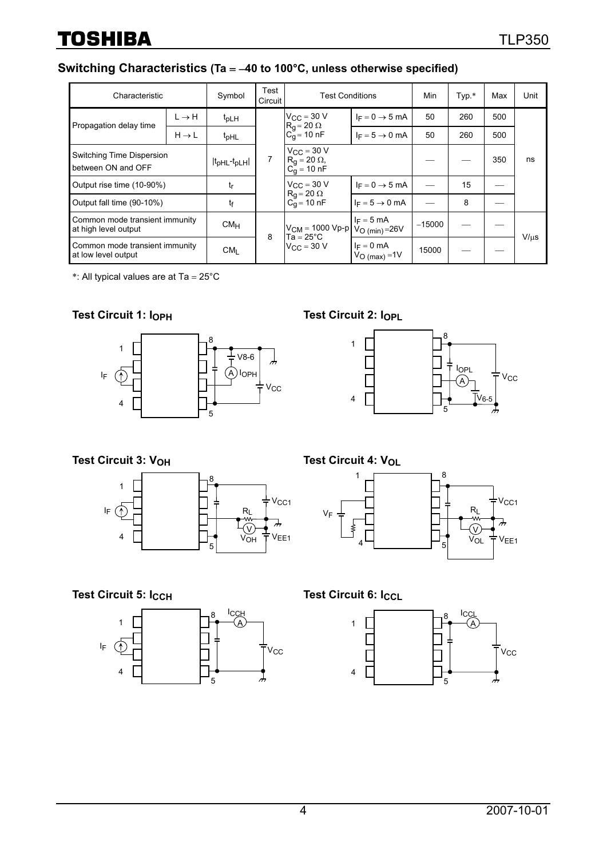# **Switching Characteristics (Ta** = −**40 to 100°C, unless otherwise specified)**

| Characteristic                                         |                   | Symbol                                       | Test<br>Circuit                                                           | <b>Test Conditions</b>                                                  |                                  | Min      | Typ.* | Max | Unit      |
|--------------------------------------------------------|-------------------|----------------------------------------------|---------------------------------------------------------------------------|-------------------------------------------------------------------------|----------------------------------|----------|-------|-----|-----------|
|                                                        | $L \rightarrow H$ | $t_{\text{pLH}}$                             |                                                                           | $V_{CC}$ = 30 V<br>$R_g = 20 \Omega$<br>$C_{q} = 10 \text{ nF}$         | $I_F = 0 \rightarrow 5$ mA       | 50       | 260   | 500 |           |
| Propagation delay time                                 | $H \rightarrow L$ | $t_{\text{pHL}}$                             |                                                                           |                                                                         | $I_F = 5 \rightarrow 0$ mA       | 50       | 260   | 500 |           |
| Switching Time Dispersion<br>between ON and OFF        |                   | $ t$ <sub>pHL</sub> - $t$ <sub>pLH</sub> $ $ |                                                                           | $V_{\text{CC}}$ = 30 V<br>$R_g = 20 \Omega$ ,<br>C <sub>g</sub> = 10 nF |                                  |          |       | 350 | ns        |
| Output rise time (10-90%)                              |                   | tr                                           |                                                                           | $V_{\text{CC}} = 30 \text{ V}$<br>$R_q = 20 \Omega$                     | $I_F = 0 \rightarrow 5$ mA       |          | 15    |     |           |
| Output fall time (90-10%)<br>tf                        |                   |                                              |                                                                           | $C_{q} = 10 \text{ nF}$                                                 | $I_F = 5 \rightarrow 0$ mA       |          | 8     |     |           |
| Common mode transient immunity<br>at high level output |                   | CM <sub>H</sub>                              | $V_{CM}$ = 1000 Vp-p<br>$Ta = 25^{\circ}C$<br>8<br>$V_{\text{CC}} = 30$ V |                                                                         | $I_F = 5$ mA<br>$VO (min) = 26V$ | $-15000$ |       |     | $V/\mu s$ |
| Common mode transient immunity<br>at low level output  |                   | CM <sub>I</sub>                              |                                                                           | $I_F = 0$ mA<br>$VO$ (max) = 1V                                         | 15000                            |          |       |     |           |

\*: All typical values are at  $Ta = 25^{\circ}C$ 

### **Test Circuit 1: IOPH Test Circuit 2: IOPL**





**Test Circuit 3: V<sub>OH</sub> Test Circuit 4: V<sub>OL</sub>** 





**Test Circuit 5: IccH Test Circuit 6: IccL** 



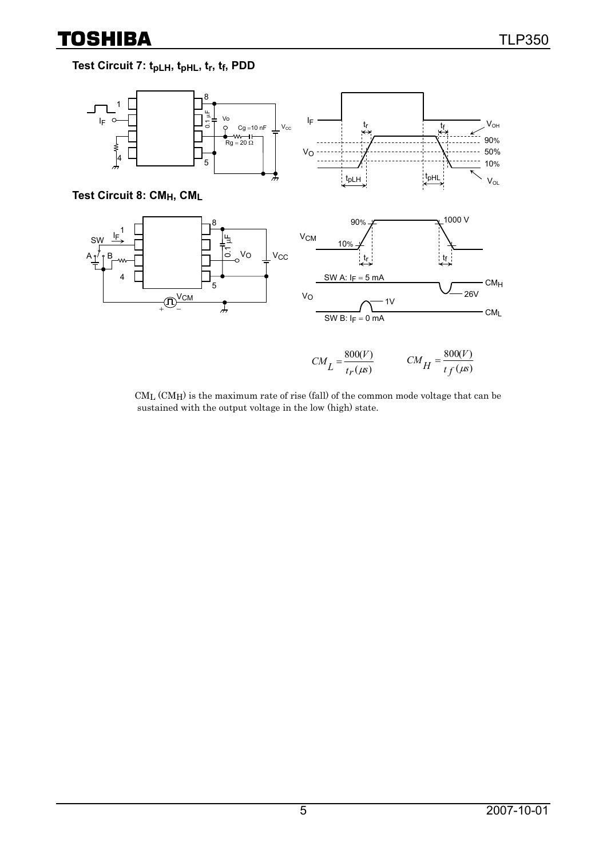$(\mu s)$ 

 $tf$  ( $\mu$ s

## **Test Circuit 7: tpLH, tpHL, tr, tf, PDD**



CML (CMH) is the maximum rate of rise (fall) of the common mode voltage that can be sustained with the output voltage in the low (high) state.

 $t_f$  ( $\mu$ s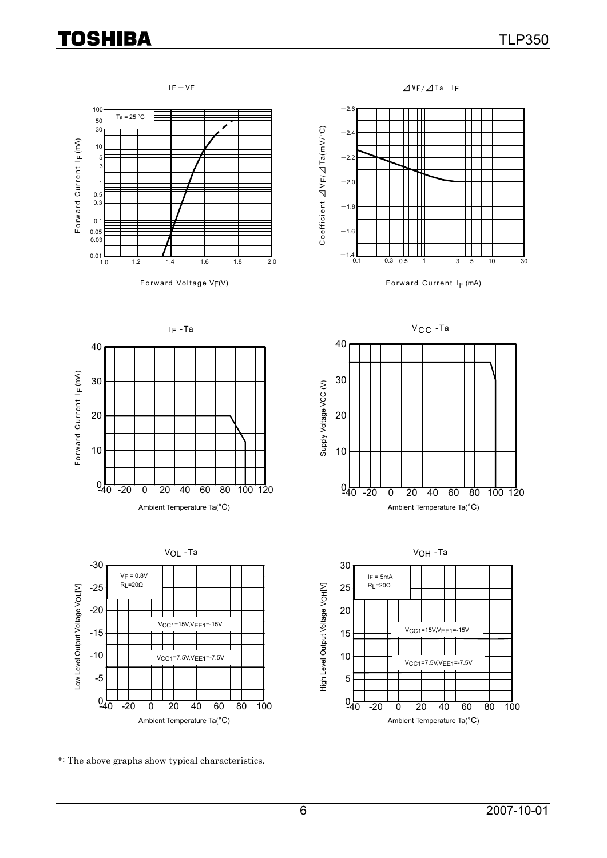







Forward Voltage  $V_F(V)$  Forward Current I<sub>F</sub> (mA)







30

40



\*: The above graphs show typical characteristics.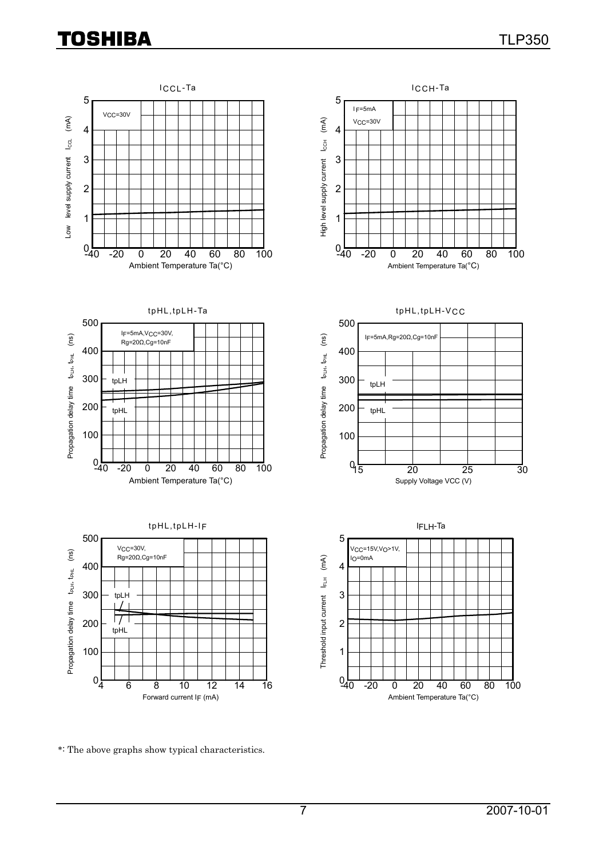

\*: The above graphs show typical characteristics.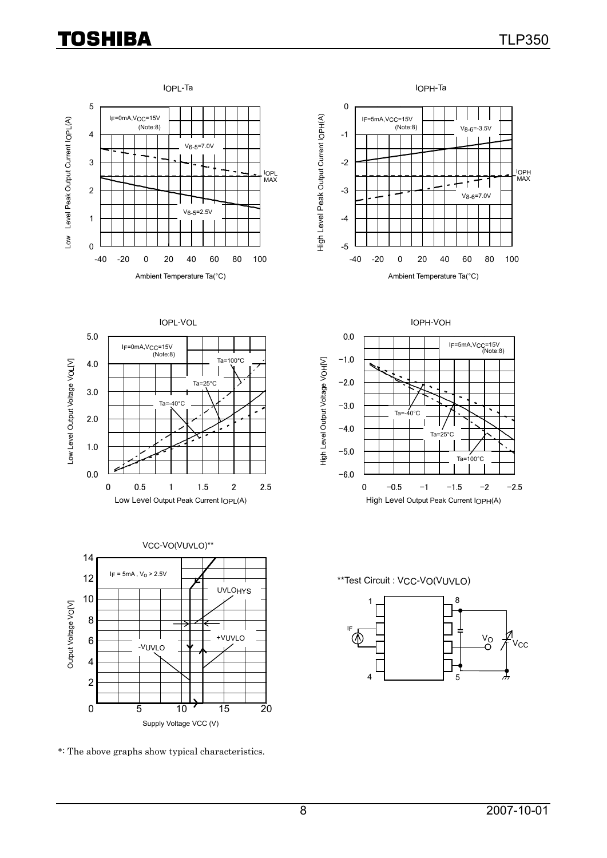







\*: The above graphs show typical characteristics.



\*\*Test Circuit : VCC-VO(VUVLO)